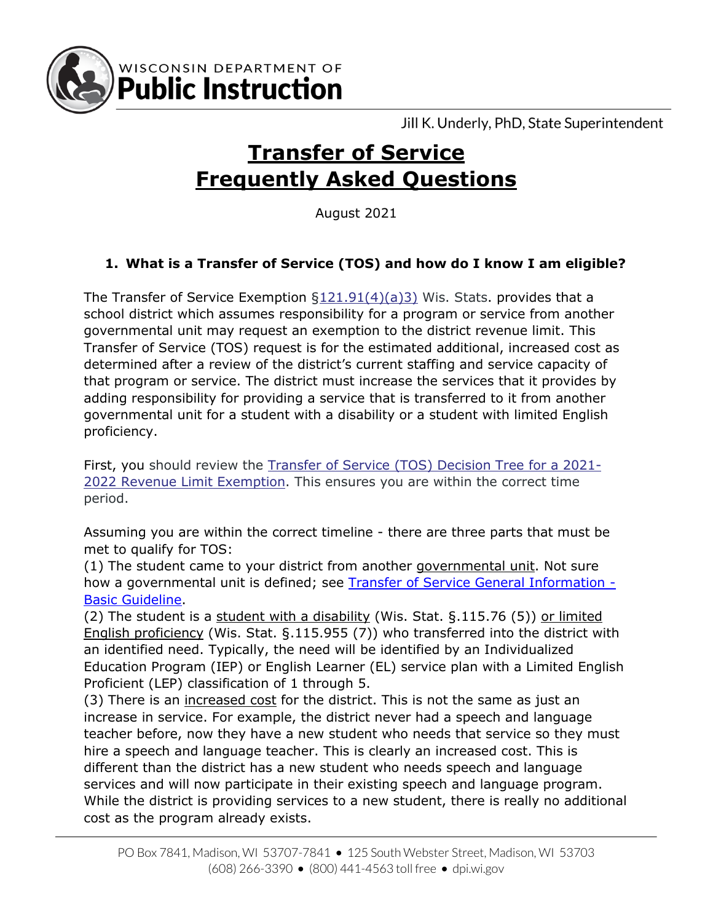

Jill K. Underly, PhD, State Superintendent

# **Transfer of Service Frequently Asked Questions**

August 2021

## **1. What is a Transfer of Service (TOS) and how do I know I am eligible?**

The Transfer of Service Exemption [§121.91\(4\)\(a\)3\)](http://docs.legis.wisconsin.gov/statutes/statutes/121/VII/91/4/a/3) Wis. Stats. provides that a school district which assumes responsibility for a program or service from another governmental unit may request an exemption to the district revenue limit. This Transfer of Service (TOS) request is for the estimated additional, increased cost as determined after a review of the district's current staffing and service capacity of that program or service. The district must increase the services that it provides by adding responsibility for providing a service that is transferred to it from another governmental unit for a student with a disability or a student with limited English proficiency.

First, you should review the [Transfer of Service \(TOS\) Decision Tree for a 2021-](https://dpi.wi.gov/sites/default/files/imce/sfs/pdf/TOS-Flowchart-02-2021.docx) [2022 Revenue Limit Exemption.](https://dpi.wi.gov/sites/default/files/imce/sfs/pdf/TOS-Flowchart-02-2021.docx) This ensures you are within the correct time period.

Assuming you are within the correct timeline - there are three parts that must be met to qualify for TOS:

(1) The student came to your district from another governmental unit. Not sure how a governmental unit is defined; see [Transfer of Service General Information -](https://dpi.wi.gov/sites/default/files/imce/sfs/pdf/TOS-General-Information-Basic-Guidelines03-2020.pdf) [Basic Guideline.](https://dpi.wi.gov/sites/default/files/imce/sfs/pdf/TOS-General-Information-Basic-Guidelines03-2020.pdf)

(2) The student is a student with a disability (Wis. Stat. §.115.76 (5)) or limited English proficiency (Wis. Stat. §.115.955 (7)) who transferred into the district with an identified need. Typically, the need will be identified by an Individualized Education Program (IEP) or English Learner (EL) service plan with a Limited English Proficient (LEP) classification of 1 through 5.

(3) There is an increased cost for the district. This is not the same as just an increase in service. For example, the district never had a speech and language teacher before, now they have a new student who needs that service so they must hire a speech and language teacher. This is clearly an increased cost. This is different than the district has a new student who needs speech and language services and will now participate in their existing speech and language program. While the district is providing services to a new student, there is really no additional cost as the program already exists.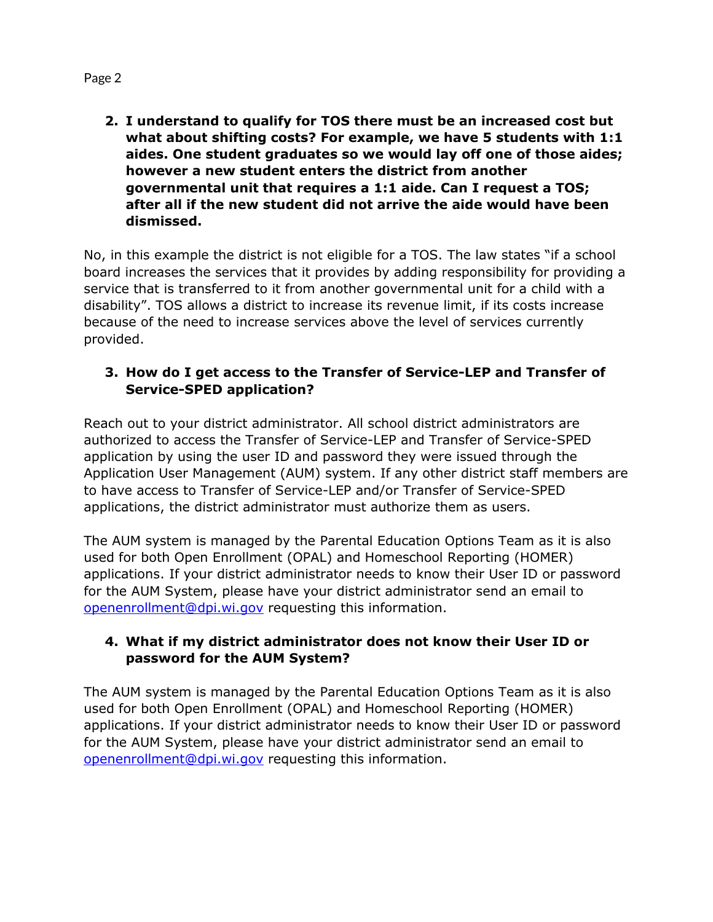**2. I understand to qualify for TOS there must be an increased cost but what about shifting costs? For example, we have 5 students with 1:1 aides. One student graduates so we would lay off one of those aides; however a new student enters the district from another governmental unit that requires a 1:1 aide. Can I request a TOS; after all if the new student did not arrive the aide would have been dismissed.**

No, in this example the district is not eligible for a TOS. The law states "if a school board increases the services that it provides by adding responsibility for providing a service that is transferred to it from another governmental unit for a child with a disability". TOS allows a district to increase its revenue limit, if its costs increase because of the need to increase services above the level of services currently provided.

#### **3. How do I get access to the Transfer of Service-LEP and Transfer of Service-SPED application?**

Reach out to your district administrator. All school district administrators are authorized to access the Transfer of Service-LEP and Transfer of Service-SPED application by using the user ID and password they were issued through the Application User Management (AUM) system. If any other district staff members are to have access to Transfer of Service-LEP and/or Transfer of Service-SPED applications, the district administrator must authorize them as users.

The AUM system is managed by the Parental Education Options Team as it is also used for both Open Enrollment (OPAL) and Homeschool Reporting (HOMER) applications. If your district administrator needs to know their User ID or password for the AUM System, please have your district administrator send an email to [openenrollment@dpi.wi.gov](mailto:openenrollment@dpi.wi.gov) requesting this information.

#### **4. What if my district administrator does not know their User ID or password for the AUM System?**

The AUM system is managed by the Parental Education Options Team as it is also used for both Open Enrollment (OPAL) and Homeschool Reporting (HOMER) applications. If your district administrator needs to know their User ID or password for the AUM System, please have your district administrator send an email to [openenrollment@dpi.wi.gov](mailto:openenrollment@dpi.wi.gov) requesting this information.